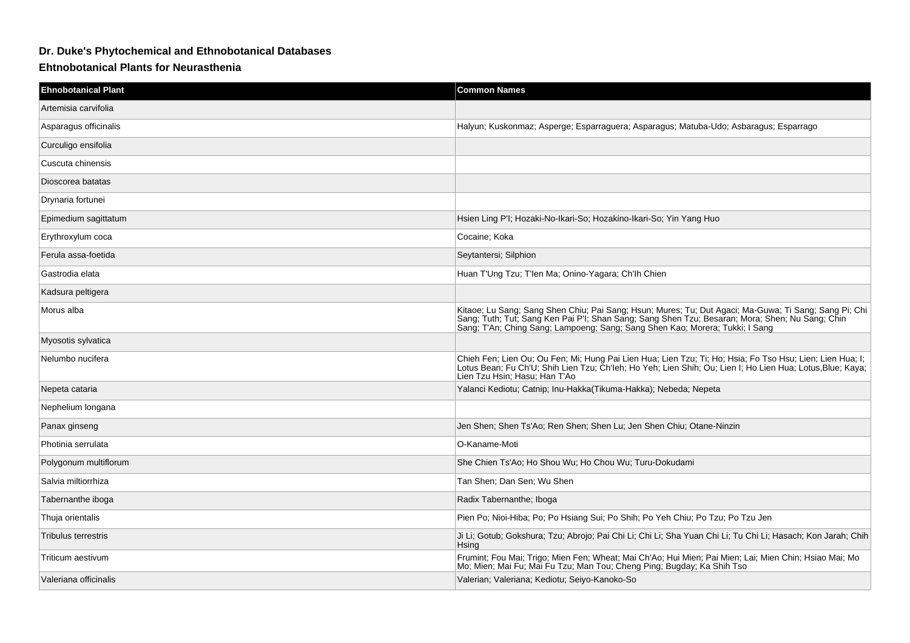## **Dr. Duke's Phytochemical and Ethnobotanical Databases**

## **Ehtnobotanical Plants for Neurasthenia**

| <b>Ehnobotanical Plant</b> | <b>Common Names</b>                                                                                                                                                                                                                                                                      |
|----------------------------|------------------------------------------------------------------------------------------------------------------------------------------------------------------------------------------------------------------------------------------------------------------------------------------|
| Artemisia carvifolia       |                                                                                                                                                                                                                                                                                          |
| Asparagus officinalis      | Halyun; Kuskonmaz; Asperge; Esparraguera; Asparagus; Matuba-Udo; Asbaragus; Esparrago                                                                                                                                                                                                    |
| Curculigo ensifolia        |                                                                                                                                                                                                                                                                                          |
| Cuscuta chinensis          |                                                                                                                                                                                                                                                                                          |
| Dioscorea batatas          |                                                                                                                                                                                                                                                                                          |
| Drynaria fortunei          |                                                                                                                                                                                                                                                                                          |
| Epimedium sagittatum       | Hsien Ling P'I; Hozaki-No-Ikari-So; Hozakino-Ikari-So; Yin Yang Huo                                                                                                                                                                                                                      |
| Erythroxylum coca          | Cocaine: Koka                                                                                                                                                                                                                                                                            |
| Ferula assa-foetida        | Seytantersi; Silphion                                                                                                                                                                                                                                                                    |
| Gastrodia elata            | Huan T'Ung Tzu; T'len Ma; Onino-Yagara; Ch'lh Chien                                                                                                                                                                                                                                      |
| Kadsura peltigera          |                                                                                                                                                                                                                                                                                          |
| Morus alba                 | Kitaoe; Lu Sang; Sang Shen Chiu; Pai Sang; Hsun; Mures; Tu; Dut Agaci; Ma-Guwa; Ti Sang; Sang Pi; Chi<br>Sang; Tuth; Tut; Sang Ken Pai P'I; Shan Sang; Sang Shen Tzu; Besaran; Mora; Shen; Nu Sang; Chin<br>Sang; T'An; Ching Sang; Lampoeng; Sang; Sang Shen Kao; Morera; Tukki; I Sang |
| Myosotis sylvatica         |                                                                                                                                                                                                                                                                                          |
| Nelumbo nucifera           | Chieh Fen; Lien Ou; Ou Fen; Mi; Hung Pai Lien Hua; Lien Tzu; Ti; Ho; Hsia; Fo Tso Hsu; Lien; Lien Hua; I;<br>Lotus Bean; Fu Ch'U; Shih Lien Tzu; Ch'leh; Ho Yeh; Lien Shih; Ou; Lien I; Ho Lien Hua; Lotus,Blue; Kaya;<br>Lien Tzu Hsin: Hasu: Han T'Ao                                  |
| Nepeta cataria             | Yalanci Kediotu; Catnip; Inu-Hakka(Tikuma-Hakka); Nebeda; Nepeta                                                                                                                                                                                                                         |
| Nephelium longana          |                                                                                                                                                                                                                                                                                          |
| Panax ginseng              | Jen Shen; Shen Ts'Ao; Ren Shen; Shen Lu; Jen Shen Chiu; Otane-Ninzin                                                                                                                                                                                                                     |
| Photinia serrulata         | O-Kaname-Moti                                                                                                                                                                                                                                                                            |
| Polygonum multiflorum      | She Chien Ts'Ao; Ho Shou Wu; Ho Chou Wu; Turu-Dokudami                                                                                                                                                                                                                                   |
| Salvia miltiorrhiza        | Tan Shen: Dan Sen: Wu Shen                                                                                                                                                                                                                                                               |
| Tabernanthe iboga          | Radix Tabernanthe; Iboga                                                                                                                                                                                                                                                                 |
| Thuja orientalis           | Pien Po; Nioi-Hiba; Po; Po Hsiang Sui; Po Shih; Po Yeh Chiu; Po Tzu; Po Tzu Jen                                                                                                                                                                                                          |
| <b>Tribulus terrestris</b> | Ji Li; Gotub; Gokshura; Tzu; Abrojo; Pai Chi Li; Chi Li; Sha Yuan Chi Li; Tu Chi Li; Hasach; Kon Jarah; Chih<br>Hsing                                                                                                                                                                    |
| Triticum aestivum          | Frumint; Fou Mai; Trigo; Mien Fen; Wheat; Mai Ch'Ao; Hui Mien; Pai Mien; Lai; Mien Chin; Hsiao Mai; Mo<br>Mo; Mien; Mai Fu; Mai Fu Tzu; Man Tou; Cheng Ping; Bugday; Ka Shih Tso                                                                                                         |
| Valeriana officinalis      | Valerian; Valeriana; Kediotu; Seiyo-Kanoko-So                                                                                                                                                                                                                                            |